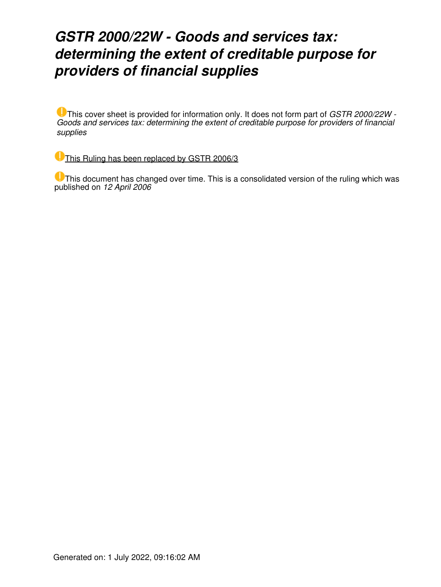### *GSTR 2000/22W - Goods and services tax: determining the extent of creditable purpose for providers of financial supplies*

This cover sheet is provided for information only. It does not form part of *GSTR 2000/22W - Goods and services tax: determining the extent of creditable purpose for providers of financial supplies*

[This Ruling has been replaced by GSTR 2006/3](https://www.ato.gov.au/law/view/document?LocID=%22GST%2FGSTR20063%2FNAT%2FATO%22&PiT=20130529000001)

**U** This document has changed over time. This is a consolidated version of the ruling which was published on *12 April 2006*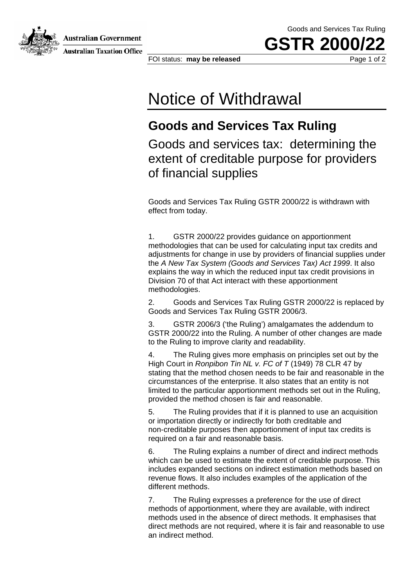Goods and Services Tax Ruling

**GSTR 2000** 





**Australian Taxation Office** 

FOI status: **may be released Page 1 of 2** 

# Notice of Withdrawal

#### **Goods and Services Tax Ruling**

Goods and services tax: determining the extent of creditable purpose for providers of financial supplies

Goods and Services Tax Ruling GSTR 2000/22 is withdrawn with effect from today.

1. GSTR 2000/22 provides guidance on apportionment methodologies that can be used for calculating input tax credits and adjustments for change in use by providers of financial supplies under the *A New Tax System (Goods and Services Tax) Act 1999*. It also explains the way in which the reduced input tax credit provisions in Division 70 of that Act interact with these apportionment methodologies.

2. Goods and Services Tax Ruling GSTR 2000/22 is replaced by Goods and Services Tax Ruling GSTR 2006/3.

3. GSTR 2006/3 ('the Ruling') amalgamates the addendum to GSTR 2000/22 into the Ruling. A number of other changes are made to the Ruling to improve clarity and readability.

4. The Ruling gives more emphasis on principles set out by the High Court in *Ronpibon Tin NL v. FC of T* (1949) 78 CLR 47 by stating that the method chosen needs to be fair and reasonable in the circumstances of the enterprise. It also states that an entity is not limited to the particular apportionment methods set out in the Ruling, provided the method chosen is fair and reasonable.

5. The Ruling provides that if it is planned to use an acquisition or importation directly or indirectly for both creditable and non-creditable purposes then apportionment of input tax credits is required on a fair and reasonable basis.

6. The Ruling explains a number of direct and indirect methods which can be used to estimate the extent of creditable purpose. This includes expanded sections on indirect estimation methods based on revenue flows. It also includes examples of the application of the different methods.

7. The Ruling expresses a preference for the use of direct methods of apportionment, where they are available, with indirect methods used in the absence of direct methods. It emphasises that direct methods are not required, where it is fair and reasonable to use an indirect method.